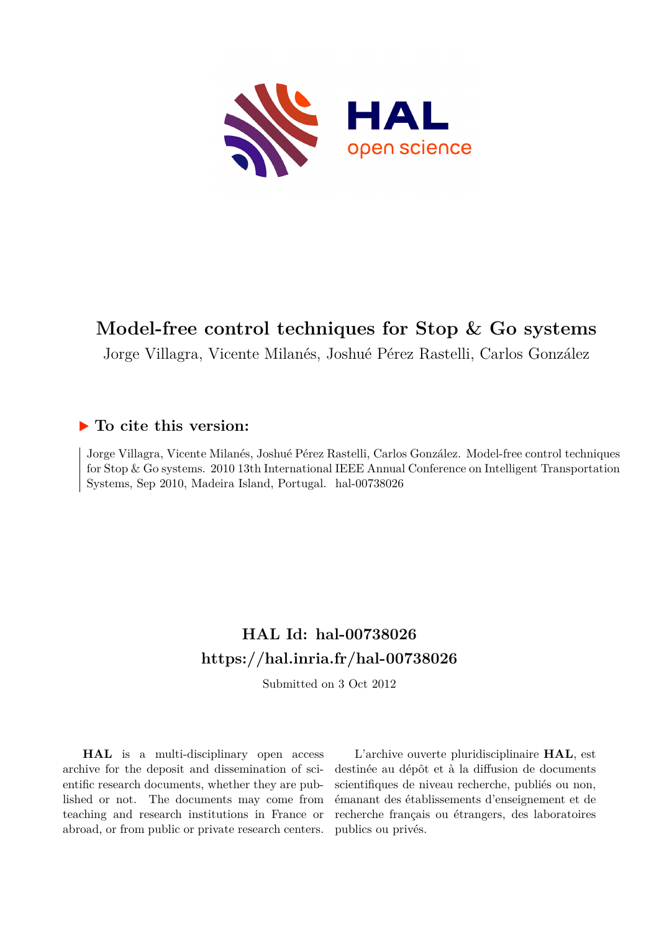

# **Model-free control techniques for Stop & Go systems**

Jorge Villagra, Vicente Milanés, Joshué Pérez Rastelli, Carlos González

# **To cite this version:**

Jorge Villagra, Vicente Milanés, Joshué Pérez Rastelli, Carlos González. Model-free control techniques for Stop & Go systems. 2010 13th International IEEE Annual Conference on Intelligent Transportation Systems, Sep 2010, Madeira Island, Portugal. hal-00738026

# **HAL Id: hal-00738026 <https://hal.inria.fr/hal-00738026>**

Submitted on 3 Oct 2012

**HAL** is a multi-disciplinary open access archive for the deposit and dissemination of scientific research documents, whether they are published or not. The documents may come from teaching and research institutions in France or abroad, or from public or private research centers.

L'archive ouverte pluridisciplinaire **HAL**, est destinée au dépôt et à la diffusion de documents scientifiques de niveau recherche, publiés ou non, émanant des établissements d'enseignement et de recherche français ou étrangers, des laboratoires publics ou privés.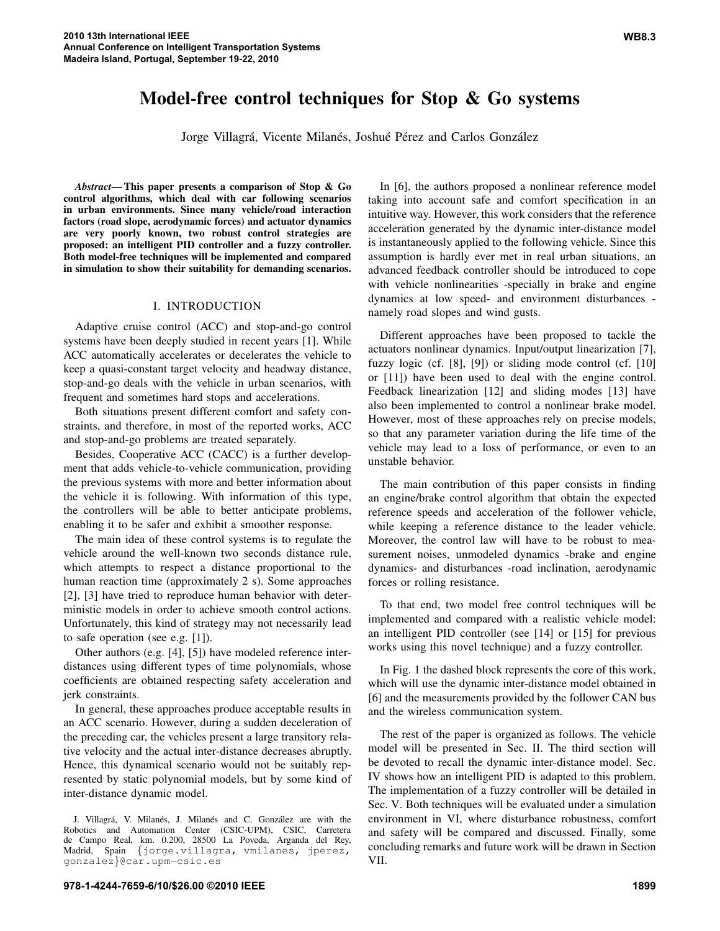# **Model-free control techniques for Stop & Go systems**

Jorge Villagrá, Vicente Milanés, Joshué Pérez and Carlos González

*Abstract***— This paper presents a comparison of Stop & Go control algorithms, which deal with car following scenarios in urban environments. Since many vehicle/road interaction factors (road slope, aerodynamic forces) and actuator dynamics are very poorly known, two robust control strategies are proposed: an intelligent PID controller and a fuzzy controller. Both model-free techniques will be implemented and compared in simulation to show their suitability for demanding scenarios.**

#### I. INTRODUCTION

Adaptive cruise control (ACC) and stop-and-go control systems have been deeply studied in recent years [1]. While ACC automatically accelerates or decelerates the vehicle to keep a quasi-constant target velocity and headway distance, stop-and-go deals with the vehicle in urban scenarios, with frequent and sometimes hard stops and accelerations.

Both situations present different comfort and safety constraints, and therefore, in most of the reported works, ACC and stop-and-go problems are treated separately.

Besides, Cooperative ACC (CACC) is a further development that adds vehicle-to-vehicle communication, providing the previous systems with more and better information about the vehicle it is following. With information of this type, the controllers will be able to better anticipate problems, enabling it to be safer and exhibit a smoother response.

The main idea of these control systems is to regulate the vehicle around the well-known two seconds distance rule, which attempts to respect a distance proportional to the human reaction time (approximately 2 s). Some approaches [2], [3] have tried to reproduce human behavior with deterministic models in order to achieve smooth control actions. Unfortunately, this kind of strategy may not necessarily lead to safe operation (see e.g. [1]).

Other authors (e.g. [4], [5]) have modeled reference interdistances using different types of time polynomials, whose coefficients are obtained respecting safety acceleration and jerk constraints.

In general, these approaches produce acceptable results in an ACC scenario. However, during a sudden deceleration of the preceding car, the vehicles present a large transitory relative velocity and the actual inter-distance decreases abruptly. Hence, this dynamical scenario would not be suitably represented by static polynomial models, but by some kind of inter-distance dynamic model.

In [6], the authors proposed a nonlinear reference model taking into account safe and comfort specification in an intuitive way. However, this work considers that the reference acceleration generated by the dynamic inter-distance model is instantaneously applied to the following vehicle. Since this assumption is hardly ever met in real urban situations, an advanced feedback controller should be introduced to cope with vehicle nonlinearities -specially in brake and engine dynamics at low speed- and environment disturbances namely road slopes and wind gusts.

Different approaches have been proposed to tackle the actuators nonlinear dynamics. Input/output linearization [7], fuzzy logic (cf. [8], [9]) or sliding mode control (cf. [10] or [11]) have been used to deal with the engine control. Feedback linearization [12] and sliding modes [13] have also been implemented to control a nonlinear brake model. However, most of these approaches rely on precise models, so that any parameter variation during the life time of the vehicle may lead to a loss of performance, or even to an unstable behavior.

The main contribution of this paper consists in finding an engine/brake control algorithm that obtain the expected reference speeds and acceleration of the follower vehicle, while keeping a reference distance to the leader vehicle. Moreover, the control law will have to be robust to measurement noises, unmodeled dynamics -brake and engine dynamics- and disturbances -road inclination, aerodynamic forces or rolling resistance.

To that end, two model free control techniques will be implemented and compared with a realistic vehicle model: an intelligent PID controller (see [14] or [15] for previous works using this novel technique) and a fuzzy controller.

In Fig. 1 the dashed block represents the core of this work, which will use the dynamic inter-distance model obtained in [6] and the measurements provided by the follower CAN bus and the wireless communication system.

The rest of the paper is organized as follows. The vehicle model will be presented in Sec. II. The third section will be devoted to recall the dynamic inter-distance model. Sec. IV shows how an intelligent PID is adapted to this problem. The implementation of a fuzzy controller will be detailed in Sec. V. Both techniques will be evaluated under a simulation environment in VI, where disturbance robustness, comfort and safety will be compared and discussed. Finally, some concluding remarks and future work will be drawn in Section VII.

J. Villagrá, V. Milanés, J. Milanés and C. González are with the Robotics and Automation Center (CSIC-UPM), CSIC, Carretera de Campo Real, km. 0.200, 28500 La Poveda, Arganda del Rey, Madrid, Spain {jorge.villagra, vmilanes, jperez, gonzalez}@car.upm-csic.es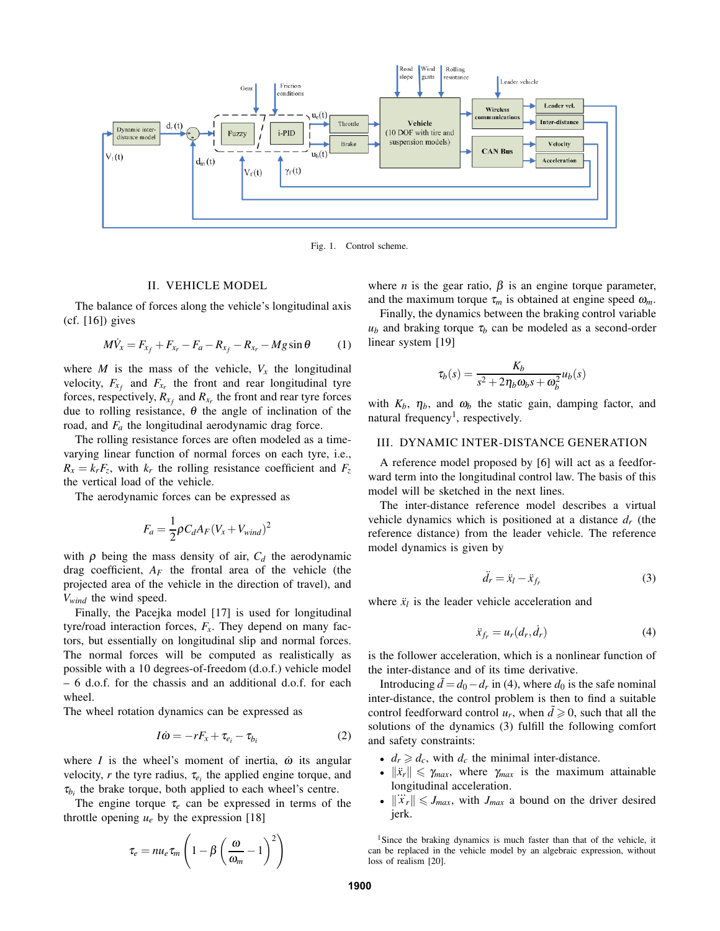

Fig. 1. Control scheme.

# II. VEHICLE MODEL

The balance of forces along the vehicle's longitudinal axis (cf. [16]) gives

$$
M\dot{V}_x = F_{x_f} + F_{x_r} - F_a - R_{x_f} - R_{x_r} - Mg\sin\theta \tag{1}
$$

where *M* is the mass of the vehicle,  $V_x$  the longitudinal velocity,  $F_{x_f}$  and  $F_{x_r}$  the front and rear longitudinal tyre forces, respectively,  $R_{x_f}$  and  $R_{x_r}$  the front and rear tyre forces due to rolling resistance, <sup>θ</sup> the angle of inclination of the road, and *F<sup>a</sup>* the longitudinal aerodynamic drag force.

The rolling resistance forces are often modeled as a timevarying linear function of normal forces on each tyre, i.e.,  $R_x = k_r F_z$ , with  $k_r$  the rolling resistance coefficient and  $F_z$ the vertical load of the vehicle.

The aerodynamic forces can be expressed as

$$
F_a = \frac{1}{2} \rho C_d A_F (V_x + V_{wind})^2
$$

with  $\rho$  being the mass density of air,  $C_d$  the aerodynamic drag coefficient,  $A_F$  the frontal area of the vehicle (the projected area of the vehicle in the direction of travel), and *Vwind* the wind speed.

Finally, the Pacejka model [17] is used for longitudinal tyre/road interaction forces,  $F_x$ . They depend on many factors, but essentially on longitudinal slip and normal forces. The normal forces will be computed as realistically as possible with a 10 degrees-of-freedom (d.o.f.) vehicle model – 6 d.o.f. for the chassis and an additional d.o.f. for each wheel.

The wheel rotation dynamics can be expressed as

$$
I\dot{\omega} = -rF_x + \tau_{e_i} - \tau_{b_i} \tag{2}
$$

where  $I$  is the wheel's moment of inertia,  $\dot{\omega}$  its angular velocity, *r* the tyre radius,  $\tau_{e_i}$  the applied engine torque, and  $\tau_{b_i}$  the brake torque, both applied to each wheel's centre.

The engine torque  $\tau_e$  can be expressed in terms of the throttle opening  $u_e$  by the expression [18]

$$
\tau_e = n u_e \tau_m \left( 1 - \beta \left( \frac{\omega}{\omega_m} - 1 \right)^2 \right)
$$

where *n* is the gear ratio,  $\beta$  is an engine torque parameter, and the maximum torque  $\tau_m$  is obtained at engine speed  $\omega_m$ .

Finally, the dynamics between the braking control variable  $u_b$  and braking torque  $\tau_b$  can be modeled as a second-order linear system [19]

$$
\tau_b(s) = \frac{K_b}{s^2 + 2\eta_b \omega_b s + \omega_b^2} u_b(s)
$$

with  $K_b$ ,  $\eta_b$ , and  $\omega_b$  the static gain, damping factor, and natural frequency<sup>1</sup>, respectively.

## III. DYNAMIC INTER-DISTANCE GENERATION

A reference model proposed by [6] will act as a feedforward term into the longitudinal control law. The basis of this model will be sketched in the next lines.

The inter-distance reference model describes a virtual vehicle dynamics which is positioned at a distance *d<sup>r</sup>* (the reference distance) from the leader vehicle. The reference model dynamics is given by

$$
\ddot{d}_r = \ddot{x}_l - \ddot{x}_{f_r} \tag{3}
$$

where  $\ddot{x}_l$  is the leader vehicle acceleration and

$$
\ddot{x}_{f_r} = u_r(d_r, \dot{d}_r) \tag{4}
$$

is the follower acceleration, which is a nonlinear function of the inter-distance and of its time derivative.

Introducing  $\tilde{d} = d_0 - d_r$  in (4), where  $d_0$  is the safe nominal inter-distance, the control problem is then to find a suitable control feedforward control  $u_r$ , when  $\tilde{d} \geq 0$ , such that all the solutions of the dynamics (3) fulfill the following comfort and safety constraints:

- $d_r \geq d_c$ , with  $d_c$  the minimal inter-distance.
- $\|\ddot{x}_r\| \leq \gamma_{max}$ , where  $\gamma_{max}$  is the maximum attainable longitudinal acceleration.
- $\|\ddot{x}_r\| \leq J_{max}$ , with  $J_{max}$  a bound on the driver desired jerk.

<sup>1</sup>Since the braking dynamics is much faster than that of the vehicle, it can be replaced in the vehicle model by an algebraic expression, without loss of realism [20].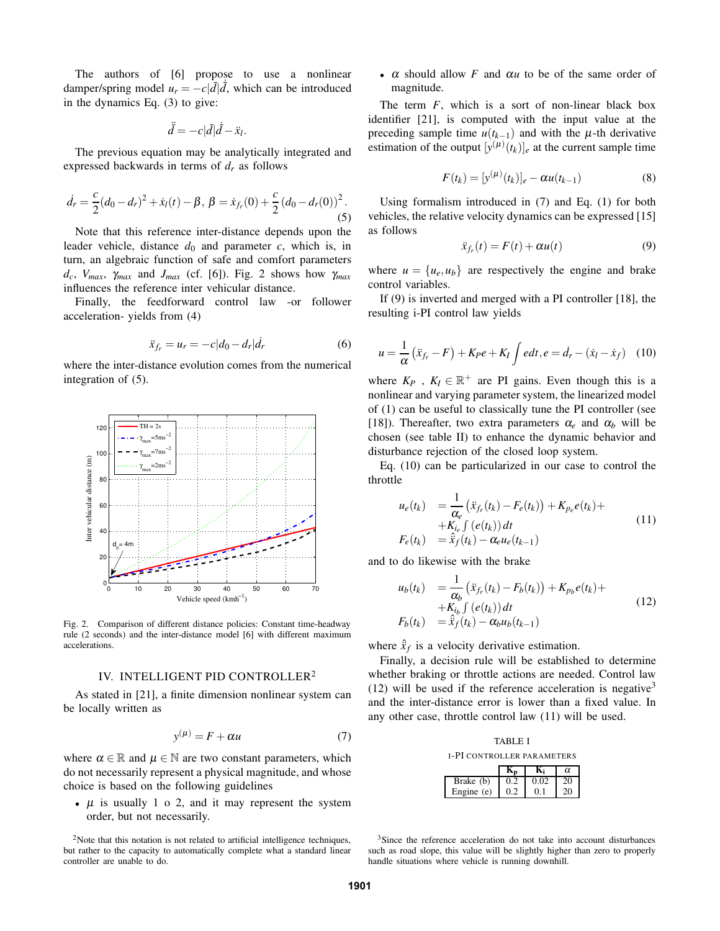The authors of [6] propose to use a nonlinear damper/spring model  $u_r = -c|\tilde{d}|\dot{d}$ , which can be introduced in the dynamics Eq. (3) to give:

$$
\ddot{\tilde{d}} = -c|\tilde{d}|\dot{\tilde{d}} - \ddot{x}_l.
$$

The previous equation may be analytically integrated and expressed backwards in terms of *d<sup>r</sup>* as follows

$$
\dot{d}_r = \frac{c}{2}(d_0 - d_r)^2 + \dot{x}_l(t) - \beta, \ \beta = \dot{x}_{fr}(0) + \frac{c}{2}(d_0 - d_r(0))^2.
$$
\n(5)

Note that this reference inter-distance depends upon the leader vehicle, distance  $d_0$  and parameter  $c$ , which is, in turn, an algebraic function of safe and comfort parameters  $d_c$ ,  $V_{max}$ ,  $\gamma_{max}$  and  $J_{max}$  (cf. [6]). Fig. 2 shows how  $\gamma_{max}$ influences the reference inter vehicular distance.

Finally, the feedforward control law -or follower acceleration- yields from (4)

$$
\ddot{x}_{f_r} = u_r = -c|d_0 - d_r|\dot{d}_r \tag{6}
$$

where the inter-distance evolution comes from the numerical integration of (5).



Fig. 2. Comparison of different distance policies: Constant time-headway rule (2 seconds) and the inter-distance model [6] with different maximum accelerations.

# IV. INTELLIGENT PID CONTROLLER 2

As stated in [21], a finite dimension nonlinear system can be locally written as

$$
y^{(\mu)} = F + \alpha u \tag{7}
$$

where  $\alpha \in \mathbb{R}$  and  $\mu \in \mathbb{N}$  are two constant parameters, which do not necessarily represent a physical magnitude, and whose choice is based on the following guidelines

•  $\mu$  is usually 1 o 2, and it may represent the system order, but not necessarily.

<sup>2</sup>Note that this notation is not related to artificial intelligence techniques, but rather to the capacity to automatically complete what a standard linear controller are unable to do.

•  $\alpha$  should allow *F* and  $\alpha u$  to be of the same order of magnitude.

The term *F*, which is a sort of non-linear black box identifier [21], is computed with the input value at the preceding sample time  $u(t_{k-1})$  and with the  $\mu$ -th derivative estimation of the output  $[y^{(\mu)}(t_k)]_e$  at the current sample time

$$
F(t_k) = [y^{(\mu)}(t_k)]_e - \alpha u(t_{k-1})
$$
\n(8)

Using formalism introduced in (7) and Eq. (1) for both vehicles, the relative velocity dynamics can be expressed [15] as follows

$$
\ddot{x}_{f_r}(t) = F(t) + \alpha u(t) \tag{9}
$$

where  $u = {u_e, u_b}$  are respectively the engine and brake control variables.

If (9) is inverted and merged with a PI controller [18], the resulting i-PI control law yields

$$
u = \frac{1}{\alpha} \left( \ddot{x}_{f_r} - F \right) + K_P e + K_I \int e dt, e = \dot{d}_r - (\dot{x}_l - \dot{x}_f) \quad (10)
$$

where  $K_P$ ,  $K_I \in \mathbb{R}^+$  are PI gains. Even though this is a nonlinear and varying parameter system, the linearized model of (1) can be useful to classically tune the PI controller (see [18]). Thereafter, two extra parameters  $\alpha_e$  and  $\alpha_b$  will be chosen (see table II) to enhance the dynamic behavior and disturbance rejection of the closed loop system.

Eq. (10) can be particularized in our case to control the throttle

$$
u_e(t_k) = \frac{1}{\alpha_e} \left( \ddot{x}_{f_r}(t_k) - F_e(t_k) \right) + K_{p_e} e(t_k) +
$$
  
+ 
$$
K_{i_e} \int (e(t_k)) dt
$$
  

$$
F_e(t_k) = \hat{x}_f(t_k) - \alpha_e u_e(t_{k-1})
$$
 (11)

and to do likewise with the brake

$$
u_b(t_k) = \frac{1}{\alpha_b} (\ddot{x}_{f_r}(t_k) - F_b(t_k)) + K_{p_b} e(t_k) ++ K_{i_b} \int (e(t_k)) dt F_b(t_k) = \hat{x}_f(t_k) - \alpha_b u_b(t_{k-1})
$$
(12)

where  $\hat{x}_f$  is a velocity derivative estimation.

Finally, a decision rule will be established to determine whether braking or throttle actions are needed. Control law (12) will be used if the reference acceleration is negative<sup>3</sup> and the inter-distance error is lower than a fixed value. In any other case, throttle control law (11) will be used.

| <b>TABLE I</b>                    |     |      |    |  |
|-----------------------------------|-----|------|----|--|
| <b>I-PI CONTROLLER PARAMETERS</b> |     |      |    |  |
|                                   |     |      | α  |  |
| Brake (b)                         | 0.2 | 0.02 | 20 |  |
| Engine (e)                        |     |      |    |  |

<sup>3</sup>Since the reference acceleration do not take into account disturbances such as road slope, this value will be slightly higher than zero to properly handle situations where vehicle is running downhill.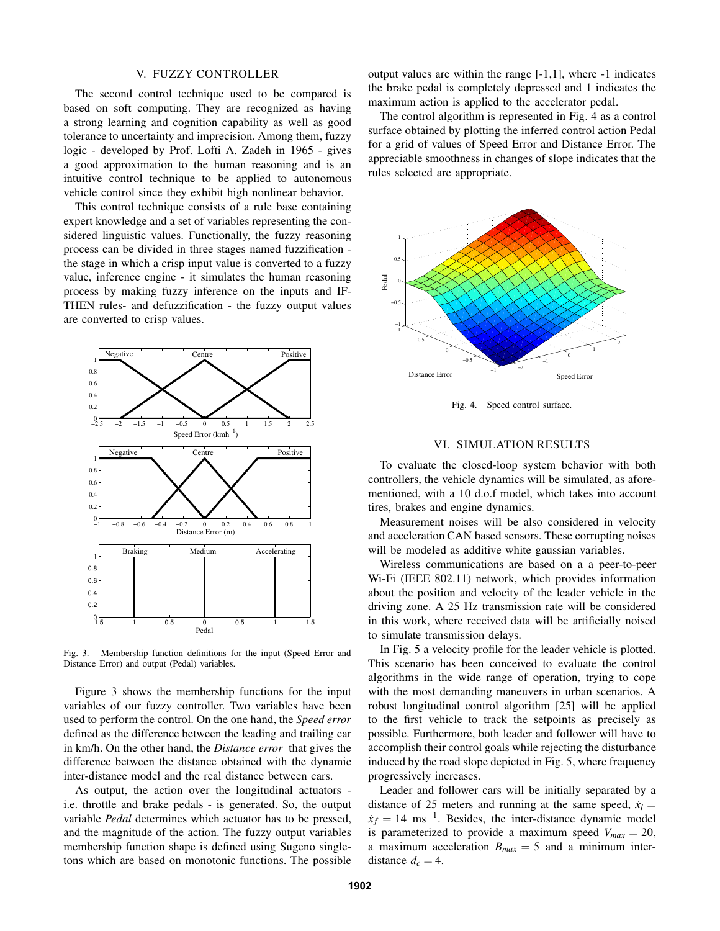### V. FUZZY CONTROLLER

The second control technique used to be compared is based on soft computing. They are recognized as having a strong learning and cognition capability as well as good tolerance to uncertainty and imprecision. Among them, fuzzy logic - developed by Prof. Lofti A. Zadeh in 1965 - gives a good approximation to the human reasoning and is an intuitive control technique to be applied to autonomous vehicle control since they exhibit high nonlinear behavior.

This control technique consists of a rule base containing expert knowledge and a set of variables representing the considered linguistic values. Functionally, the fuzzy reasoning process can be divided in three stages named fuzzification the stage in which a crisp input value is converted to a fuzzy value, inference engine - it simulates the human reasoning process by making fuzzy inference on the inputs and IF-THEN rules- and defuzzification - the fuzzy output values are converted to crisp values.



Fig. 3. Membership function definitions for the input (Speed Error and Distance Error) and output (Pedal) variables.

Figure 3 shows the membership functions for the input variables of our fuzzy controller. Two variables have been used to perform the control. On the one hand, the *Speed error* defined as the difference between the leading and trailing car in km/h. On the other hand, the *Distance error* that gives the difference between the distance obtained with the dynamic inter-distance model and the real distance between cars.

As output, the action over the longitudinal actuators i.e. throttle and brake pedals - is generated. So, the output variable *Pedal* determines which actuator has to be pressed, and the magnitude of the action. The fuzzy output variables membership function shape is defined using Sugeno singletons which are based on monotonic functions. The possible

output values are within the range [-1,1], where -1 indicates the brake pedal is completely depressed and 1 indicates the maximum action is applied to the accelerator pedal.

The control algorithm is represented in Fig. 4 as a control surface obtained by plotting the inferred control action Pedal for a grid of values of Speed Error and Distance Error. The appreciable smoothness in changes of slope indicates that the rules selected are appropriate.



Fig. 4. Speed control surface.

# VI. SIMULATION RESULTS

To evaluate the closed-loop system behavior with both controllers, the vehicle dynamics will be simulated, as aforementioned, with a 10 d.o.f model, which takes into account tires, brakes and engine dynamics.

Measurement noises will be also considered in velocity and acceleration CAN based sensors. These corrupting noises will be modeled as additive white gaussian variables.

Wireless communications are based on a a peer-to-peer Wi-Fi (IEEE 802.11) network, which provides information about the position and velocity of the leader vehicle in the driving zone. A 25 Hz transmission rate will be considered in this work, where received data will be artificially noised to simulate transmission delays.

In Fig. 5 a velocity profile for the leader vehicle is plotted. This scenario has been conceived to evaluate the control algorithms in the wide range of operation, trying to cope with the most demanding maneuvers in urban scenarios. A robust longitudinal control algorithm [25] will be applied to the first vehicle to track the setpoints as precisely as possible. Furthermore, both leader and follower will have to accomplish their control goals while rejecting the disturbance induced by the road slope depicted in Fig. 5, where frequency progressively increases.

Leader and follower cars will be initially separated by a distance of 25 meters and running at the same speed,  $\dot{x}_l$  =  $x_f = 14$  ms<sup>-1</sup>. Besides, the inter-distance dynamic model is parameterized to provide a maximum speed  $V_{max} = 20$ , a maximum acceleration  $B_{max} = 5$  and a minimum interdistance  $d_c = 4$ .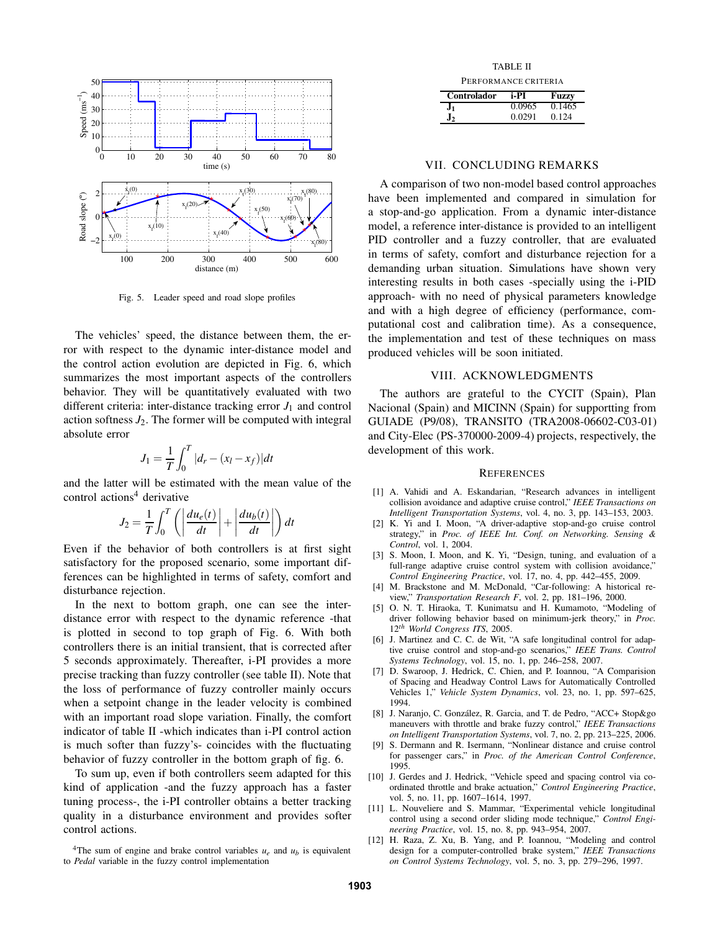

Fig. 5. Leader speed and road slope profiles

The vehicles' speed, the distance between them, the error with respect to the dynamic inter-distance model and the control action evolution are depicted in Fig. 6, which summarizes the most important aspects of the controllers behavior. They will be quantitatively evaluated with two different criteria: inter-distance tracking error  $J_1$  and control action softness  $J_2$ . The former will be computed with integral absolute error

$$
J_1 = \frac{1}{T} \int_0^T |d_r - (x_l - x_f)| dt
$$

and the latter will be estimated with the mean value of the control actions <sup>4</sup> derivative

$$
J_2 = \frac{1}{T} \int_0^T \left( \left| \frac{du_e(t)}{dt} \right| + \left| \frac{du_b(t)}{dt} \right| \right) dt
$$

Even if the behavior of both controllers is at first sight satisfactory for the proposed scenario, some important differences can be highlighted in terms of safety, comfort and disturbance rejection.

In the next to bottom graph, one can see the interdistance error with respect to the dynamic reference -that is plotted in second to top graph of Fig. 6. With both controllers there is an initial transient, that is corrected after 5 seconds approximately. Thereafter, i-PI provides a more precise tracking than fuzzy controller (see table II). Note that the loss of performance of fuzzy controller mainly occurs when a setpoint change in the leader velocity is combined with an important road slope variation. Finally, the comfort indicator of table II -which indicates than i-PI control action is much softer than fuzzy's- coincides with the fluctuating behavior of fuzzy controller in the bottom graph of fig. 6.

To sum up, even if both controllers seem adapted for this kind of application -and the fuzzy approach has a faster tuning process-, the i-PI controller obtains a better tracking quality in a disturbance environment and provides softer control actions.

| TABLE II             |  |
|----------------------|--|
| PERFORMANCE CRITERIA |  |

| Controlador | i-PI   | Fuzzy  |
|-------------|--------|--------|
|             | 0.0965 | 0.1465 |
| J2          | 0.0291 | 0.124  |

### VII. CONCLUDING REMARKS

A comparison of two non-model based control approaches have been implemented and compared in simulation for a stop-and-go application. From a dynamic inter-distance model, a reference inter-distance is provided to an intelligent PID controller and a fuzzy controller, that are evaluated in terms of safety, comfort and disturbance rejection for a demanding urban situation. Simulations have shown very interesting results in both cases -specially using the i-PID approach- with no need of physical parameters knowledge and with a high degree of efficiency (performance, computational cost and calibration time). As a consequence, the implementation and test of these techniques on mass produced vehicles will be soon initiated.

# VIII. ACKNOWLEDGMENTS

The authors are grateful to the CYCIT (Spain), Plan Nacional (Spain) and MICINN (Spain) for supportting from GUIADE (P9/08), TRANSITO (TRA2008-06602-C03-01) and City-Elec (PS-370000-2009-4) projects, respectively, the development of this work.

## **REFERENCES**

- [1] A. Vahidi and A. Eskandarian, "Research advances in intelligent collision avoidance and adaptive cruise control," *IEEE Transactions on Intelligent Transportation Systems*, vol. 4, no. 3, pp. 143–153, 2003.
- [2] K. Yi and I. Moon, "A driver-adaptive stop-and-go cruise control strategy," in *Proc. of IEEE Int. Conf. on Networking. Sensing & Control*, vol. 1, 2004.
- [3] S. Moon, I. Moon, and K. Yi, "Design, tuning, and evaluation of a full-range adaptive cruise control system with collision avoidance," *Control Engineering Practice*, vol. 17, no. 4, pp. 442–455, 2009.
- [4] M. Brackstone and M. McDonald, "Car-following: A historical review," *Transportation Research F*, vol. 2, pp. 181–196, 2000.
- [5] O. N. T. Hiraoka, T. Kunimatsu and H. Kumamoto, "Modeling of driver following behavior based on minimum-jerk theory," in *Proc.* 12*th World Congress ITS*, 2005.
- [6] J. Martinez and C. C. de Wit, "A safe longitudinal control for adaptive cruise control and stop-and-go scenarios," *IEEE Trans. Control Systems Technology*, vol. 15, no. 1, pp. 246–258, 2007.
- [7] D. Swaroop, J. Hedrick, C. Chien, and P. Ioannou, "A Comparision of Spacing and Headway Control Laws for Automatically Controlled Vehicles 1," *Vehicle System Dynamics*, vol. 23, no. 1, pp. 597–625, 1994.
- [8] J. Naranjo, C. González, R. Garcia, and T. de Pedro, "ACC+ Stop&go maneuvers with throttle and brake fuzzy control," *IEEE Transactions on Intelligent Transportation Systems*, vol. 7, no. 2, pp. 213–225, 2006.
- [9] S. Dermann and R. Isermann, "Nonlinear distance and cruise control for passenger cars," in *Proc. of the American Control Conference*, 1995.
- [10] J. Gerdes and J. Hedrick, "Vehicle speed and spacing control via coordinated throttle and brake actuation," *Control Engineering Practice*, vol. 5, no. 11, pp. 1607–1614, 1997.
- [11] L. Nouveliere and S. Mammar, "Experimental vehicle longitudinal control using a second order sliding mode technique," *Control Engineering Practice*, vol. 15, no. 8, pp. 943–954, 2007.
- [12] H. Raza, Z. Xu, B. Yang, and P. Ioannou, "Modeling and control design for a computer-controlled brake system," *IEEE Transactions on Control Systems Technology*, vol. 5, no. 3, pp. 279–296, 1997.

<sup>&</sup>lt;sup>4</sup>The sum of engine and brake control variables  $u_e$  and  $u_b$  is equivalent to *Pedal* variable in the fuzzy control implementation